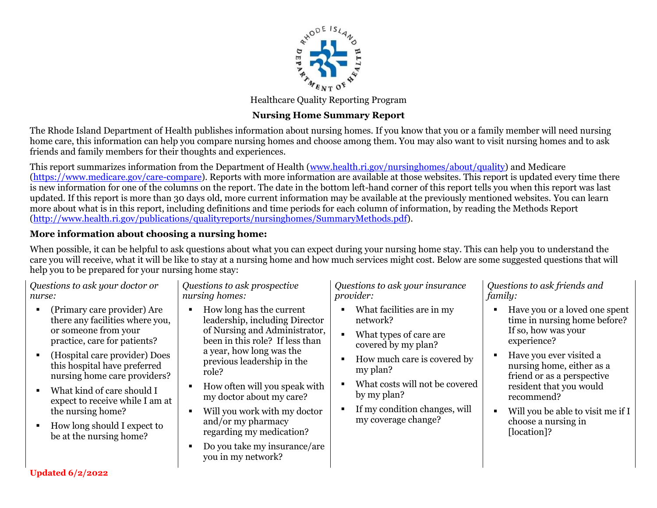

Healthcare Quality Reporting Program

# **Nursing Home Summary Report**

The Rhode Island Department of Health publishes information about nursing homes. If you know that you or a family member will need nursing home care, this information can help you compare nursing homes and choose among them. You may also want to visit nursing homes and to ask friends and family members for their thoughts and experiences.

This report summarizes information from the Department of Health [\(www.health.ri.gov/nursinghomes/about/quality\)](http://www.health.ri.gov/nursinghomes/about/quality) and Medicare [\(https://www.medicare.gov/care-compare\)](https://www.medicare.gov/care-compare). Reports with more information are available at those websites. This report is updated every time there is new information for one of the columns on the report. The date in the bottom left-hand corner of this report tells you when this report was last updated. If this report is more than 30 days old, more current information may be available at the previously mentioned websites. You can learn more about what is in this report, including definitions and time periods for each column of information, by reading the Methods Report [\(http://www.health.ri.gov/publications/qualityreports/nursinghomes/SummaryMethods.pdf\)](http://www.health.ri.gov/publications/qualityreports/nursinghomes/SummaryMethods.pdf).

## **More information about choosing a nursing home:**

When possible, it can be helpful to ask questions about what you can expect during your nursing home stay. This can help you to understand the care you will receive, what it will be like to stay at a nursing home and how much services might cost. Below are some suggested questions that will help you to be prepared for your nursing home stay:

| Questions to ask your doctor or |
|---------------------------------|
| nurse:                          |

- (Primary care provider) Are there any facilities where you, or someone from your practice, care for patients?
- (Hospital care provider) Does this hospital have preferred nursing home care providers?
- What kind of care should I expect to receive while I am at the nursing home?
- How long should I expect to be at the nursing home?

*Questions to ask prospective nursing homes:*

- How long has the current leadership, including Director of Nursing and Administrator, been in this role? If less than a year, how long was the previous leadership in the role?
- **How often will you speak with** my doctor about my care?
- Will you work with my doctor and/or my pharmacy regarding my medication?
- Do you take my insurance/are you in my network?

*Questions to ask your insurance provider:*

- What facilities are in my network?
- What types of care are covered by my plan?
- How much care is covered by my plan?
- What costs will not be covered by my plan?
- $\blacksquare$  If my condition changes, will my coverage change?

*Questions to ask friends and family:*

- Have you or a loved one spent time in nursing home before? If so, how was your experience?
- **Have you ever visited a** nursing home, either as a friend or as a perspective resident that you would recommend?
- Will you be able to visit me if I choose a nursing in [location]?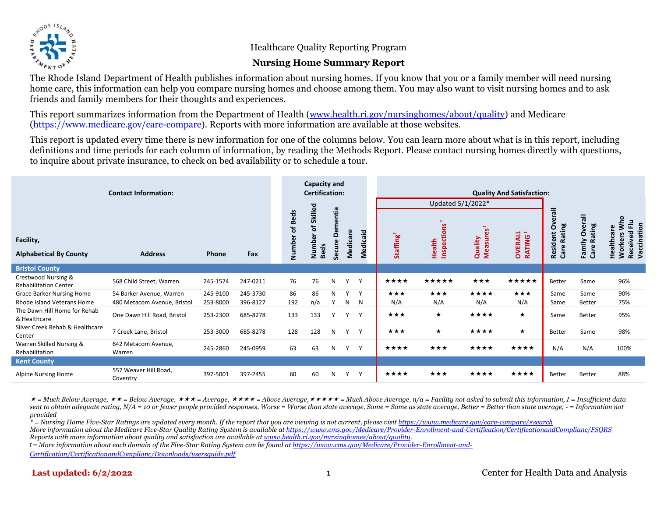

Healthcare Quality Reporting Program

#### **Nursing Home Summary Report**

The Rhode Island Department of Health publishes information about nursing homes. If you know that you or a family member will need nursing home care, this information can help you compare nursing homes and choose among them. You may also want to visit nursing homes and to ask friends and family members for their thoughts and experiences.

This report summarizes information from the Department of Health [\(www.health.ri.gov/nursinghomes/about/quality\)](http://www.health.ri.gov/nursinghomes/about/quality) and Medicare [\(https://www.medicare.gov/care-compare\)](https://www.medicare.gov/care-compare). Reports with more information are available at those websites.

This report is updated every time there is new information for one of the columns below. You can learn more about what is in this report, including definitions and time periods for each column of information, by reading the Methods Report. Please contact nursing homes directly with questions, to inquire about private insurance, to check on bed availability or to schedule a tour.

| <b>Contact Information:</b>                         |                                   | Capacity and<br><b>Certification:</b> |          |                |                                         | <b>Quality And Satisfaction:</b> |              |          |                   |                       |                           |                                                             |                                             |                                  |                                                                                    |
|-----------------------------------------------------|-----------------------------------|---------------------------------------|----------|----------------|-----------------------------------------|----------------------------------|--------------|----------|-------------------|-----------------------|---------------------------|-------------------------------------------------------------|---------------------------------------------|----------------------------------|------------------------------------------------------------------------------------|
|                                                     |                                   |                                       |          |                |                                         |                                  |              |          |                   | Updated 5/1/2022*     |                           |                                                             |                                             |                                  |                                                                                    |
| Facility,<br><b>Alphabetical By County</b>          | <b>Address</b>                    | Phone                                 | Fax      | Number of Beds | Skilled<br>٦ŕ,<br>Number<br><b>Beds</b> | entia<br>έ<br>Õ<br>Secure        | Medicare     | Medicaid | <b>Staffing</b>   | Inspections<br>Health | ပ္လိ<br>Quality<br>Measur | $\overline{\phantom{0}}$<br><b>OVERALL</b><br><b>RATING</b> | erall<br>Care Rating<br>$\circ$<br>Resident | Overall<br>Care Rating<br>Family | <b>NW</b><br>Received Flu<br>Vaccination<br>پ<br><b>Healthca</b><br><b>Workers</b> |
| <b>Bristol County</b>                               |                                   |                                       |          |                |                                         |                                  |              |          |                   |                       |                           |                                                             |                                             |                                  |                                                                                    |
| Crestwood Nursing &<br><b>Rehabilitation Center</b> | 568 Child Street, Warren          | 245-1574                              | 247-0211 | 76             | 76                                      | N                                | Υ            | Y        | ★★★★              | *****                 | ***                       | *****                                                       | Better                                      | Same                             | 96%                                                                                |
| <b>Grace Barker Nursing Home</b>                    | 54 Barker Avenue, Warren          | 245-9100                              | 245-3730 | 86             | 86                                      | N                                | $\mathsf{v}$ | Y        | $\star\star\star$ | $\star\star\star$     | ****                      | ★★★                                                         | Same                                        | Same                             | 90%                                                                                |
| Rhode Island Veterans Home                          | 480 Metacom Avenue, Bristol       | 253-8000                              | 396-8127 | 192            | n/a                                     |                                  | N            | - N      | N/A               | N/A                   | N/A                       | N/A                                                         | Same                                        | Better                           | 75%                                                                                |
| The Dawn Hill Home for Rehab<br>& Healthcare        | One Dawn Hill Road, Bristol       | 253-2300                              | 685-8278 | 133            | 133                                     |                                  | v            | Y        | ***               | $\star$               | ****                      | $\star$                                                     | Same                                        | Better                           | 95%                                                                                |
| Silver Creek Rehab & Healthcare<br>Center           | 7 Creek Lane, Bristol             | 253-3000                              | 685-8278 | 128            | 128                                     | N                                | Y            | Y        | $\star\star\star$ | $\star$               | ****                      | $\star$                                                     | <b>Better</b>                               | Same                             | 98%                                                                                |
| Warren Skilled Nursing &<br>Rehabilitation          | 642 Metacom Avenue,<br>Warren     | 245-2860                              | 245-0959 | 63             | 63                                      | N                                | Υ            | Y        | ★★★★              | ***                   | ★★★★                      | ****                                                        | N/A                                         | N/A                              | 100%                                                                               |
| <b>Kent County</b>                                  |                                   |                                       |          |                |                                         |                                  |              |          |                   |                       |                           |                                                             |                                             |                                  |                                                                                    |
| Alpine Nursing Home                                 | 557 Weaver Hill Road,<br>Coventry | 397-5001                              | 397-2455 | 60             | 60                                      | N                                | Υ            | Y        | ★★★★              | ★★★                   | ★★★★                      | ****                                                        | Better                                      | Better                           | 88%                                                                                |

 *= Much Below Average, = Below Average, = Average, = Above Average, = Much Above Average, n/a = Facility not asked to submit this information, I = Insufficient data sent to obtain adequate rating, N/A = 10 or fewer people provided responses, Worse = Worse than state average, Same = Same as state average, Better = Better than state average, - = Information not provided* 

*\* = Nursing Home Five-Star Ratings are updated every month. If the report that you are viewing is not current, please visi[t https://www.medicare.gov/care-compare/#search](https://www.medicare.gov/care-compare/#search) More information about the Medicare Five-Star Quality Rating System is available a[t https://www.cms.gov/Medicare/Provider-Enrollment-and-Certification/CertificationandComplianc/FSQRS](https://www.cms.gov/Medicare/Provider-Enrollment-and-Certification/CertificationandComplianc/FSQRS) Reports with more information about quality and satisfaction are available a[t www.health.ri.gov/nursinghomes/about/quality.](http://www.health.ri.gov/nursinghomes/about/quality)*

*ꝉ = More information about each domain of the Five-Star Rating System can be found at [https://www.cms.gov/Medicare/Provider-Enrollment-and-](https://www.cms.gov/Medicare/Provider-Enrollment-and-Certification/CertificationandComplianc/Downloads/usersguide.pdf)*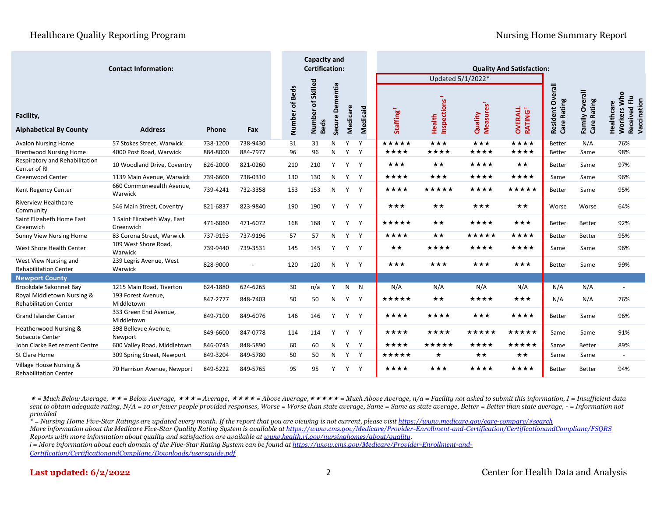|                                                            |                                          |          | <b>Capacity and</b><br><b>Certification:</b> |                |                                  |                    |              |          |                       |                       |                                  |                                 |                                       |                               |                                                                  |
|------------------------------------------------------------|------------------------------------------|----------|----------------------------------------------|----------------|----------------------------------|--------------------|--------------|----------|-----------------------|-----------------------|----------------------------------|---------------------------------|---------------------------------------|-------------------------------|------------------------------------------------------------------|
|                                                            |                                          |          |                                              |                |                                  |                    |              |          |                       | Updated 5/1/2022*     |                                  |                                 |                                       |                               |                                                                  |
| Facility,<br><b>Alphabetical By County</b>                 | <b>Address</b>                           | Phone    | Fax                                          | Number of Beds | Number of Skilled<br><b>Beds</b> | Dementia<br>Secure | Medicare     | Medicaid | Staffing <sup>1</sup> | Inspections<br>Health | Measures <sup>1</sup><br>Quality | <b>OVERALL</b><br><b>RATING</b> | erall<br>δ<br>Care Rating<br>Resident | Family Overall<br>Care Rating | Who<br>룬<br>Received Flu<br>Vaccination<br>Healthcare<br>Workers |
| <b>Avalon Nursing Home</b>                                 | 57 Stokes Street, Warwick                | 738-1200 | 738-9430                                     | 31             | 31                               | N                  | $\mathsf{v}$ | Y        | *****                 | $\star\star\star$     | $\star\star\star$                | ****                            | Better                                | N/A                           | 76%                                                              |
| <b>Brentwood Nursing Home</b>                              | 4000 Post Road, Warwick                  | 884-8000 | 884-7977                                     | 96             | 96                               | N                  | Y            | Y        | ★★★★                  | ****                  | ****                             | ****                            | <b>Better</b>                         | Same                          | 98%                                                              |
| Respiratory and Rehabilitation<br>Center of RI             | 10 Woodland Drive, Coventry              | 826-2000 | 821-0260                                     | 210            | 210                              | Y                  | Y            | Y        | ★★★                   | ★★                    | ★★★★                             | ★★                              | Better                                | Same                          | 97%                                                              |
| Greenwood Center                                           | 1139 Main Avenue, Warwick                | 739-6600 | 738-0310                                     | 130            | 130                              | N.                 | Y            | Y        | ****                  | ***                   | ****                             | ****                            | Same                                  | Same                          | 96%                                                              |
| Kent Regency Center                                        | 660 Commonwealth Avenue,<br>Warwick      | 739-4241 | 732-3358                                     | 153            | 153                              | N                  | Y            | Y        | ****                  | *****                 | ****                             | *****                           | <b>Better</b>                         | Same                          | 95%                                                              |
| <b>Riverview Healthcare</b><br>Community                   | 546 Main Street, Coventry                | 821-6837 | 823-9840                                     | 190            | 190                              | Y                  | Y            | Y        | ★★★                   | ★★                    | ★★★                              | $\star\star$                    | Worse                                 | Worse                         | 64%                                                              |
| Saint Elizabeth Home East<br>Greenwich                     | 1 Saint Elizabeth Way, East<br>Greenwich | 471-6060 | 471-6072                                     | 168            | 168                              | Y                  | Y            | Y        | *****                 | **                    | ****                             | ***                             | Better                                | Better                        | 92%                                                              |
| <b>Sunny View Nursing Home</b>                             | 83 Corona Street, Warwick                | 737-9193 | 737-9196                                     | 57             | 57                               | N                  | Y            | Y        | ★★★★                  | ★★                    | ★★★★★                            | ****                            | <b>Better</b>                         | Better                        | 95%                                                              |
| West Shore Health Center                                   | 109 West Shore Road,<br>Warwick          | 739-9440 | 739-3531                                     | 145            | 145                              | Y                  | Y            | Y        | ★★                    | ★★★★                  | ****                             | ****                            | Same                                  | Same                          | 96%                                                              |
| West View Nursing and<br><b>Rehabilitation Center</b>      | 239 Legris Avenue, West<br>Warwick       | 828-9000 |                                              | 120            | 120                              | N                  | Y            | Y        | ***                   | ***                   | ***                              | ***                             | <b>Better</b>                         | Same                          | 99%                                                              |
| <b>Newport County</b>                                      |                                          |          |                                              |                |                                  |                    |              |          |                       |                       |                                  |                                 |                                       |                               |                                                                  |
| Brookdale Sakonnet Bay                                     | 1215 Main Road, Tiverton                 | 624-1880 | 624-6265                                     | 30             | n/a                              | Y                  | N            | N        | N/A                   | N/A                   | N/A                              | N/A                             | N/A                                   | N/A                           | $\overline{\phantom{a}}$                                         |
| Royal Middletown Nursing &<br><b>Rehabilitation Center</b> | 193 Forest Avenue,<br>Middletown         | 847-2777 | 848-7403                                     | 50             | 50                               | N                  | Y            | Y        | ★★★★★                 | **                    | ★★★★                             | ***                             | N/A                                   | N/A                           | 76%                                                              |
| <b>Grand Islander Center</b>                               | 333 Green End Avenue,<br>Middletown      | 849-7100 | 849-6076                                     | 146            | 146                              | Y                  | Y            | Y        | ****                  | ****                  | ***                              | ****                            | <b>Better</b>                         | Same                          | 96%                                                              |
| Heatherwood Nursing &<br><b>Subacute Center</b>            | 398 Bellevue Avenue,<br>Newport          | 849-6600 | 847-0778                                     | 114            | 114                              | Y                  | Y            | Y        | ★★★★                  | ****                  | *****                            | *****                           | Same                                  | Same                          | 91%                                                              |
| John Clarke Retirement Centre                              | 600 Valley Road, Middletown              | 846-0743 | 848-5890                                     | 60             | 60                               | N                  | Y            | Y        | ★★★★                  | *****                 | ★★★★                             | *****                           | Same                                  | Better                        | 89%                                                              |
| St Clare Home                                              | 309 Spring Street, Newport               | 849-3204 | 849-5780                                     | 50             | 50                               | N                  | Y            | Y        | *****                 | ★                     | ★★                               | $\star\star$                    | Same                                  | Same                          | $\overline{\phantom{a}}$                                         |
| Village House Nursing &<br><b>Rehabilitation Center</b>    | 70 Harrison Avenue, Newport              | 849-5222 | 849-5765                                     | 95             | 95                               | Y                  | Y            | Y        | ****                  | ***                   | ****                             | ****                            | Better                                | Better                        | 94%                                                              |

 *= Much Below Average, = Below Average, = Average, = Above Average, = Much Above Average, n/a = Facility not asked to submit this information, I = Insufficient data sent to obtain adequate rating, N/A = 10 or fewer people provided responses, Worse = Worse than state average, Same = Same as state average, Better = Better than state average, - = Information not provided*

*\* = Nursing Home Five-Star Ratings are updated every month. If the report that you are viewing is not current, please visi[t https://www.medicare.gov/care-compare/#search](https://www.medicare.gov/care-compare/#search) More information about the Medicare Five-Star Quality Rating System is available a[t https://www.cms.gov/Medicare/Provider-Enrollment-and-Certification/CertificationandComplianc/FSQRS](https://www.cms.gov/Medicare/Provider-Enrollment-and-Certification/CertificationandComplianc/FSQRS) Reports with more information about quality and satisfaction are available a[t www.health.ri.gov/nursinghomes/about/quality.](http://www.health.ri.gov/nursinghomes/about/quality)*

*ꝉ = More information about each domain of the Five-Star Rating System can be found at [https://www.cms.gov/Medicare/Provider-Enrollment-and-](https://www.cms.gov/Medicare/Provider-Enrollment-and-Certification/CertificationandComplianc/Downloads/usersguide.pdf)*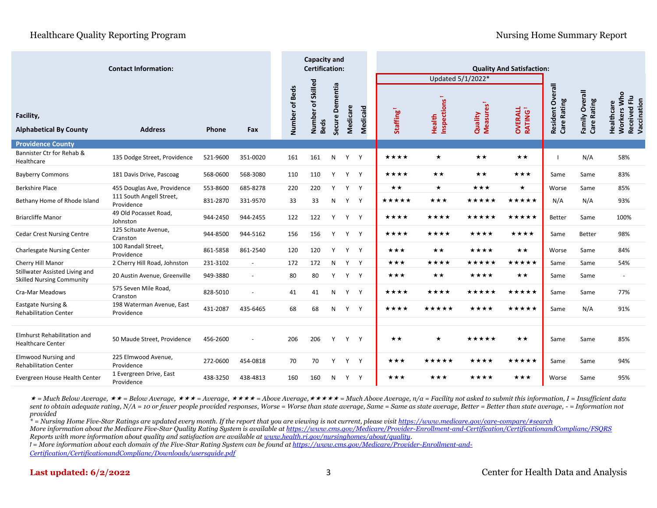|                                                                    |                                         | <b>Capacity and</b><br><b>Certification:</b> |                          |                |                   |          | Updated 5/1/2022* | <b>Quality And Satisfaction:</b> |                       |             |                       |                                 |                        |                                      |                                                          |
|--------------------------------------------------------------------|-----------------------------------------|----------------------------------------------|--------------------------|----------------|-------------------|----------|-------------------|----------------------------------|-----------------------|-------------|-----------------------|---------------------------------|------------------------|--------------------------------------|----------------------------------------------------------|
| Facility,                                                          |                                         |                                              |                          | Number of Beds | Number of Skilled | Dementia |                   | <b>Medicaid</b>                  |                       | Inspections | Measures <sup>1</sup> |                                 | Overall<br>Care Rating | <b>Family Overall</b><br>Care Rating | Workers Who<br>Received Flu<br>Vaccination<br>Healthcare |
| <b>Alphabetical By County</b>                                      | <b>Address</b>                          | Phone                                        | Fax                      |                | <b>Beds</b>       | Secure I | Medicare          |                                  | Staffing <sup>1</sup> | Health      | Quality               | <b>OVERALL</b><br><b>RATING</b> | Resident               |                                      |                                                          |
| <b>Providence County</b>                                           |                                         |                                              |                          |                |                   |          |                   |                                  |                       |             |                       |                                 |                        |                                      |                                                          |
| Bannister Ctr for Rehab &<br>Healthcare                            | 135 Dodge Street, Providence            | 521-9600                                     | 351-0020                 | 161            | 161               | N        |                   | Y Y                              | ★★★★                  | $\star$     | $\star\star$          | $\star\star$                    | - 1                    | N/A                                  | 58%                                                      |
| <b>Bayberry Commons</b>                                            | 181 Davis Drive, Pascoag                | 568-0600                                     | 568-3080                 | 110            | 110               | Y        | Y                 | Y                                | ★★★★                  | ★★          | ★★                    | ★★★                             | Same                   | Same                                 | 83%                                                      |
| <b>Berkshire Place</b>                                             | 455 Douglas Ave, Providence             | 553-8600                                     | 685-8278                 | 220            | 220               | Y        | Y                 | Y                                | **                    | $\star$     | ★★★                   | $\star$                         | Worse                  | Same                                 | 85%                                                      |
| Bethany Home of Rhode Island                                       | 111 South Angell Street,<br>Providence  | 831-2870                                     | 331-9570                 | 33             | 33                | N        | Y                 | Y                                | *****                 | ***         | *****                 | *****                           | N/A                    | N/A                                  | 93%                                                      |
| <b>Briarcliffe Manor</b>                                           | 49 Old Pocasset Road,<br>Johnston       | 944-2450                                     | 944-2455                 | 122            | 122               | Y        | Y                 | Y                                | ****                  | ****        | *****                 | *****                           | <b>Better</b>          | Same                                 | 100%                                                     |
| <b>Cedar Crest Nursing Centre</b>                                  | 125 Scituate Avenue,<br>Cranston        | 944-8500                                     | 944-5162                 | 156            | 156               | Y        | Y                 | Y                                | ****                  | ****        | ****                  | ****                            | Same                   | Better                               | 98%                                                      |
| <b>Charlesgate Nursing Center</b>                                  | 100 Randall Street,<br>Providence       | 861-5858                                     | 861-2540                 | 120            | 120               | Y        | Y                 | Y                                | ★★★                   | ★★          | ****                  | $\star\star$                    | Worse                  | Same                                 | 84%                                                      |
| Cherry Hill Manor                                                  | 2 Cherry Hill Road, Johnston            | 231-3102                                     | $\blacksquare$           | 172            | 172               | N        | Y                 | Y                                | ***                   | ****        | ★★★★★                 | *****                           | Same                   | Same                                 | 54%                                                      |
| Stillwater Assisted Living and<br><b>Skilled Nursing Community</b> | 20 Austin Avenue, Greenville            | 949-3880                                     | $\overline{\phantom{a}}$ | 80             | 80                | Y        | Y                 | Y                                | ***                   | ★★          | ****                  | $\star\star$                    | Same                   | Same                                 | $\sim$                                                   |
| Cra-Mar Meadows                                                    | 575 Seven Mile Road,<br>Cranston        | 828-5010                                     | $\overline{\phantom{a}}$ | 41             | 41                | N        | Y                 | Y                                | ****                  | ****        | *****                 | *****                           | Same                   | Same                                 | 77%                                                      |
| Eastgate Nursing &<br><b>Rehabilitation Center</b>                 | 198 Waterman Avenue, East<br>Providence | 431-2087                                     | 435-6465                 | 68             | 68                | N        | Y                 | Y                                | ****                  | *****       | ★★★★                  | *****                           | Same                   | N/A                                  | 91%                                                      |
|                                                                    |                                         |                                              |                          |                |                   |          |                   |                                  |                       |             |                       |                                 |                        |                                      |                                                          |
| Elmhurst Rehabilitation and<br><b>Healthcare Center</b>            | 50 Maude Street, Providence             | 456-2600                                     |                          | 206            | 206               | Y        | Y                 | Y                                | ★★                    | $\star$     | *****                 | ★★                              | Same                   | Same                                 | 85%                                                      |
| <b>Elmwood Nursing and</b><br><b>Rehabilitation Center</b>         | 225 Elmwood Avenue,<br>Providence       | 272-0600                                     | 454-0818                 | 70             | 70                | Y        | Y                 | Y                                | ★★★                   | *****       | ****                  | ★★★★★                           | Same                   | Same                                 | 94%                                                      |
| Evergreen House Health Center                                      | 1 Evergreen Drive, East<br>Providence   | 438-3250                                     | 438-4813                 | 160            | 160               | N        | Y                 | Y                                | ★★★                   | ***         | ****                  | ★★★                             | Worse                  | Same                                 | 95%                                                      |

 *= Much Below Average, = Below Average, = Average, = Above Average, = Much Above Average, n/a = Facility not asked to submit this information, I = Insufficient data sent to obtain adequate rating, N/A = 10 or fewer people provided responses, Worse = Worse than state average, Same = Same as state average, Better = Better than state average, - = Information not provided*

*\* = Nursing Home Five-Star Ratings are updated every month. If the report that you are viewing is not current, please visi[t https://www.medicare.gov/care-compare/#search](https://www.medicare.gov/care-compare/#search) More information about the Medicare Five-Star Quality Rating System is available a[t https://www.cms.gov/Medicare/Provider-Enrollment-and-Certification/CertificationandComplianc/FSQRS](https://www.cms.gov/Medicare/Provider-Enrollment-and-Certification/CertificationandComplianc/FSQRS) Reports with more information about quality and satisfaction are available a[t www.health.ri.gov/nursinghomes/about/quality.](http://www.health.ri.gov/nursinghomes/about/quality)*

*ꝉ = More information about each domain of the Five-Star Rating System can be found at [https://www.cms.gov/Medicare/Provider-Enrollment-and-](https://www.cms.gov/Medicare/Provider-Enrollment-and-Certification/CertificationandComplianc/Downloads/usersguide.pdf)*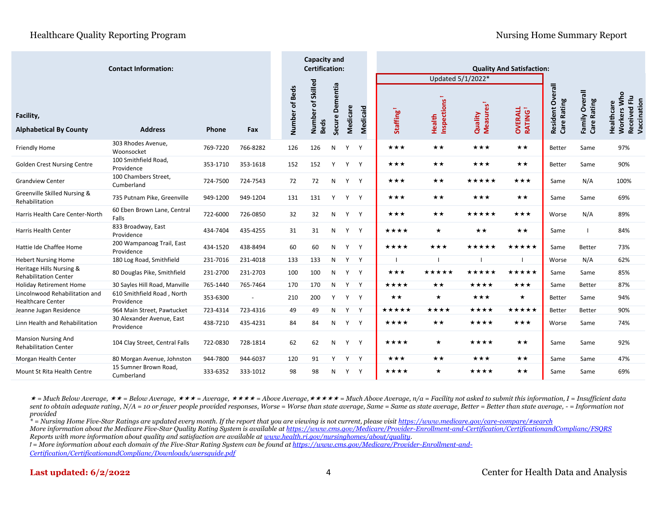|                                                            |                                          |          | <b>Capacity and</b><br><b>Certification:</b> |                |                                  |                 | <b>Quality And Satisfaction:</b> |                 |                       |                       |                                  |                                 |                                    |                               |                                                             |
|------------------------------------------------------------|------------------------------------------|----------|----------------------------------------------|----------------|----------------------------------|-----------------|----------------------------------|-----------------|-----------------------|-----------------------|----------------------------------|---------------------------------|------------------------------------|-------------------------------|-------------------------------------------------------------|
|                                                            |                                          |          |                                              |                |                                  |                 |                                  |                 |                       | Updated 5/1/2022*     |                                  |                                 |                                    |                               |                                                             |
| Facility,<br><b>Alphabetical By County</b>                 | <b>Address</b>                           | Phone    | Fax                                          | Number of Beds | Number of Skilled<br><b>Beds</b> | Secure Dementia | Medicare                         | <b>Medicaid</b> | Staffing <sup>1</sup> | Inspections<br>Health | Measures <sup>1</sup><br>Quality | <b>RATING</b><br><b>OVERALL</b> | Overall<br>Care Rating<br>Resident | Family Overall<br>Care Rating | Who<br>Received Flu<br>Vaccination<br>Healthcare<br>Workers |
| Friendly Home                                              | 303 Rhodes Avenue,<br>Woonsocket         | 769-7220 | 766-8282                                     | 126            | 126                              | N               | Y                                | Y               | ***                   | **                    | ***                              | $\star\star$                    | <b>Better</b>                      | Same                          | 97%                                                         |
| <b>Golden Crest Nursing Centre</b>                         | 100 Smithfield Road,<br>Providence       | 353-1710 | 353-1618                                     | 152            | 152                              | Y               | Y                                | Y               | ★★★                   | ★★                    | ***                              | ★★                              | <b>Better</b>                      | Same                          | 90%                                                         |
| <b>Grandview Center</b>                                    | 100 Chambers Street,<br>Cumberland       | 724-7500 | 724-7543                                     | 72             | 72                               | N               | Y                                | Y               | ★★★                   | ★★                    | *****                            | $\star\star\star$               | Same                               | N/A                           | 100%                                                        |
| Greenville Skilled Nursing &<br>Rehabilitation             | 735 Putnam Pike, Greenville              | 949-1200 | 949-1204                                     | 131            | 131                              | Y               | Y                                | Y               | ***                   | **                    | ***                              | $\star\star$                    | Same                               | Same                          | 69%                                                         |
| Harris Health Care Center-North                            | 60 Eben Brown Lane, Central<br>Falls     | 722-6000 | 726-0850                                     | 32             | 32                               | N               | Y                                | Y               | ★★★                   | ★★                    | *****                            | ★★★                             | Worse                              | N/A                           | 89%                                                         |
| <b>Harris Health Center</b>                                | 833 Broadway, East<br>Providence         | 434-7404 | 435-4255                                     | 31             | 31                               | N               | Y                                | Y               | ★★★★                  | $\star$               | ★★                               | ★★                              | Same                               |                               | 84%                                                         |
| Hattie Ide Chaffee Home                                    | 200 Wampanoag Trail, East<br>Providence  | 434-1520 | 438-8494                                     | 60             | 60                               | N               | Y                                | Y               | ★★★★                  | ★★★                   | *****                            | ★★★★★                           | Same                               | Better                        | 73%                                                         |
| <b>Hebert Nursing Home</b>                                 | 180 Log Road, Smithfield                 | 231-7016 | 231-4018                                     | 133            | 133                              | N               | Y                                | Y               |                       |                       |                                  |                                 | Worse                              | N/A                           | 62%                                                         |
| Heritage Hills Nursing &<br><b>Rehabilitation Center</b>   | 80 Douglas Pike, Smithfield              | 231-2700 | 231-2703                                     | 100            | 100                              | N               | Y                                | Y               | ★★★                   | *****                 | ★★★★★                            | *****                           | Same                               | Same                          | 85%                                                         |
| <b>Holiday Retirement Home</b>                             | 30 Sayles Hill Road, Manville            | 765-1440 | 765-7464                                     | 170            | 170                              | N               | Y                                | Y               | ****                  | ★★                    | ****                             | ★★★                             | Same                               | Better                        | 87%                                                         |
| Lincolnwood Rehabilitation and<br><b>Healthcare Center</b> | 610 Smithfield Road, North<br>Providence | 353-6300 |                                              | 210            | 200                              | Y               | Y                                | Y               | ★★                    | $\star$               | ***                              | $\star$                         | Better                             | Same                          | 94%                                                         |
| Jeanne Jugan Residence                                     | 964 Main Street, Pawtucket               | 723-4314 | 723-4316                                     | 49             | 49                               | N               | Y                                | Y               | *****                 | ****                  | ★★★★                             | *****                           | Better                             | Better                        | 90%                                                         |
| Linn Health and Rehabilitation                             | 30 Alexander Avenue, East<br>Providence  | 438-7210 | 435-4231                                     | 84             | 84                               | N               | Y                                | Y               | ★★★★                  | ★★                    | ★★★★                             | ★★★                             | Worse                              | Same                          | 74%                                                         |
| <b>Mansion Nursing And</b><br><b>Rehabilitation Center</b> | 104 Clay Street, Central Falls           | 722-0830 | 728-1814                                     | 62             | 62                               | N               | Y                                | Y               | ****                  | $\star$               | ****                             | ★★                              | Same                               | Same                          | 92%                                                         |
| Morgan Health Center                                       | 80 Morgan Avenue, Johnston               | 944-7800 | 944-6037                                     | 120            | 91                               | Y               | Y                                | Y               | ***                   | **                    | ***                              | **                              | Same                               | Same                          | 47%                                                         |
| Mount St Rita Health Centre                                | 15 Sumner Brown Road,<br>Cumberland      | 333-6352 | 333-1012                                     | 98             | 98                               | N               | Y                                | Y               | ****                  | $\star$               | ****                             | $\star\star$                    | Same                               | Same                          | 69%                                                         |

 *= Much Below Average, = Below Average, = Average, = Above Average, = Much Above Average, n/a = Facility not asked to submit this information, I = Insufficient data sent to obtain adequate rating, N/A = 10 or fewer people provided responses, Worse = Worse than state average, Same = Same as state average, Better = Better than state average, - = Information not provided*

*\* = Nursing Home Five-Star Ratings are updated every month. If the report that you are viewing is not current, please visi[t https://www.medicare.gov/care-compare/#search](https://www.medicare.gov/care-compare/#search) More information about the Medicare Five-Star Quality Rating System is available a[t https://www.cms.gov/Medicare/Provider-Enrollment-and-Certification/CertificationandComplianc/FSQRS](https://www.cms.gov/Medicare/Provider-Enrollment-and-Certification/CertificationandComplianc/FSQRS) Reports with more information about quality and satisfaction are available a[t www.health.ri.gov/nursinghomes/about/quality.](http://www.health.ri.gov/nursinghomes/about/quality)*

*ꝉ = More information about each domain of the Five-Star Rating System can be found at [https://www.cms.gov/Medicare/Provider-Enrollment-and-](https://www.cms.gov/Medicare/Provider-Enrollment-and-Certification/CertificationandComplianc/Downloads/usersguide.pdf)*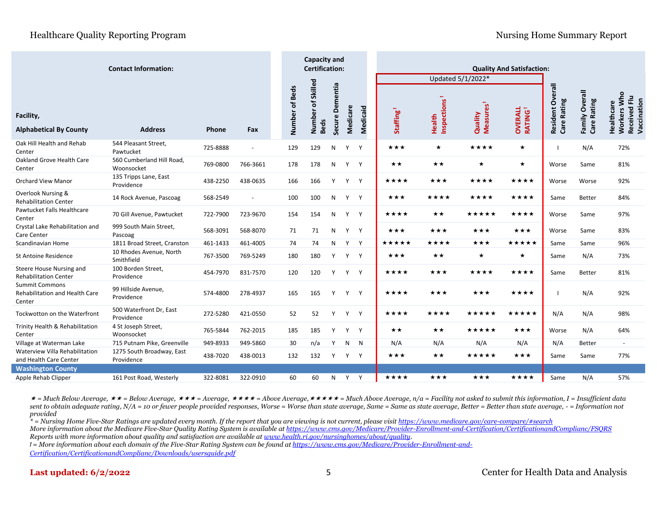|                                                                   |                                         |          |                |                | <b>Capacity and</b><br><b>Certification:</b> |                       |                           | <b>Quality And Satisfaction:</b> |          |                       |                       |                                  |                                 |                                       |                                  |                                                                    |
|-------------------------------------------------------------------|-----------------------------------------|----------|----------------|----------------|----------------------------------------------|-----------------------|---------------------------|----------------------------------|----------|-----------------------|-----------------------|----------------------------------|---------------------------------|---------------------------------------|----------------------------------|--------------------------------------------------------------------|
|                                                                   |                                         |          |                |                |                                              |                       |                           |                                  |          |                       | Updated 5/1/2022*     |                                  |                                 |                                       |                                  |                                                                    |
| Facility,<br><b>Alphabetical By County</b>                        | <b>Address</b>                          | Phone    | Fax            | Number of Beds | of Skilled                                   | Number<br><b>Beds</b> | Dementia<br><b>Secure</b> | Medicare                         | Medicaid | Staffing <sup>1</sup> | Inspections<br>Health | Measures <sup>1</sup><br>Quality | <b>OVERALL</b><br><b>RATING</b> | erall<br>Š<br>Care Rating<br>Resident | Overall<br>Care Rating<br>Family | Who<br>Received Flu<br>Vaccination<br>Healthcare<br><b>Workers</b> |
| Oak Hill Health and Rehab<br>Center                               | 544 Pleasant Street,<br>Pawtucket       | 725-8888 | $\sim$         | 129            |                                              | 129                   | N                         | Y                                | Y        | ★★★                   | $\star$               | ****                             | $\star$                         | H                                     | N/A                              | 72%                                                                |
| Oakland Grove Health Care<br>Center                               | 560 Cumberland Hill Road,<br>Woonsocket | 769-0800 | 766-3661       | 178            |                                              | 178                   | N                         | Y                                | Y        | $\star\star$          | $\star\star$          | $\star$                          | $\star$                         | Worse                                 | Same                             | 81%                                                                |
| <b>Orchard View Manor</b>                                         | 135 Tripps Lane, East<br>Providence     | 438-2250 | 438-0635       | 166            |                                              | 166                   | Y                         | Y                                | Y        | ****                  | ★★★                   | ****                             | ★★★★                            | Worse                                 | Worse                            | 92%                                                                |
| <b>Overlook Nursing &amp;</b><br><b>Rehabilitation Center</b>     | 14 Rock Avenue, Pascoag                 | 568-2549 | $\blacksquare$ | 100            |                                              | 100                   | N                         | Y Y                              |          | ★★★                   | ★★★★                  | ****                             | ★★★★                            | Same                                  | <b>Better</b>                    | 84%                                                                |
| Pawtucket Falls Healthcare<br>Center                              | 70 Gill Avenue, Pawtucket               | 722-7900 | 723-9670       | 154            |                                              | 154                   | N                         | Y Y                              |          | ****                  | ★★                    | *****                            | ****                            | Worse                                 | Same                             | 97%                                                                |
| Crystal Lake Rehabilitation and<br><b>Care Center</b>             | 999 South Main Street,<br>Pascoag       | 568-3091 | 568-8070       | 71             |                                              | 71                    | N                         | Y Y                              |          | ★★★                   | ★★★                   | ***                              | ***                             | Worse                                 | Same                             | 83%                                                                |
| Scandinavian Home                                                 | 1811 Broad Street, Cranston             | 461-1433 | 461-4005       | 74             |                                              | 74                    | N                         | Y                                | Y        | *****                 | ****                  | ***                              | *****                           | Same                                  | Same                             | 96%                                                                |
| <b>St Antoine Residence</b>                                       | 10 Rhodes Avenue, North<br>Smithfield   | 767-3500 | 769-5249       | 180            |                                              | 180                   | Y                         | Y Y                              |          | ★★★                   | $\star\star$          | $\star$                          | $\star$                         | Same                                  | N/A                              | 73%                                                                |
| Steere House Nursing and<br><b>Rehabilitation Center</b>          | 100 Borden Street,<br>Providence        | 454-7970 | 831-7570       | 120            |                                              | 120                   | Y                         | Y Y                              |          | ****                  | ★★★                   | ****                             | ★★★★                            | Same                                  | Better                           | 81%                                                                |
| <b>Summit Commons</b><br>Rehabilitation and Health Care<br>Center | 99 Hillside Avenue,<br>Providence       | 574-4800 | 278-4937       | 165            |                                              | 165                   | Y                         | Y Y                              |          | ★★★★                  | ★★★                   | ★★★                              | ★★★★                            | H                                     | N/A                              | 92%                                                                |
| Tockwotton on the Waterfront                                      | 500 Waterfront Dr, East<br>Providence   | 272-5280 | 421-0550       | 52             |                                              | 52                    | Y                         | Y Y                              |          | ****                  | ★★★★                  | ★★★★★                            | *****                           | N/A                                   | N/A                              | 98%                                                                |
| Trinity Health & Rehabilitation<br>Center                         | 4 St Joseph Street,<br>Woonsocket       | 765-5844 | 762-2015       | 185            |                                              | 185                   | Y                         | Y Y                              |          | $\star\star$          | $\star\star$          | ★★★★★                            | ***                             | Worse                                 | N/A                              | 64%                                                                |
| Village at Waterman Lake                                          | 715 Putnam Pike, Greenville             | 949-8933 | 949-5860       | 30             |                                              | n/a                   | Y                         | N                                | N        | N/A                   | N/A                   | N/A                              | N/A                             | N/A                                   | <b>Better</b>                    | $\blacksquare$                                                     |
| Waterview Villa Rehabilitation<br>and Health Care Center          | 1275 South Broadway, East<br>Providence | 438-7020 | 438-0013       | 132            |                                              | 132                   | Y                         | Y                                | Y        | ★★★                   | **                    | ★★★★★                            | ★★★                             | Same                                  | Same                             | 77%                                                                |
| <b>Washington County</b>                                          |                                         |          |                |                |                                              |                       |                           |                                  |          |                       |                       |                                  |                                 |                                       |                                  |                                                                    |
| Apple Rehab Clipper                                               | 161 Post Road, Westerly                 | 322-8081 | 322-0910       | 60             |                                              | 60                    | N                         | Y                                | Y        | ****                  | ★★★                   | ★★★                              | ****                            | Same                                  | N/A                              | 57%                                                                |

 *= Much Below Average, = Below Average, = Average, = Above Average, = Much Above Average, n/a = Facility not asked to submit this information, I = Insufficient data sent to obtain adequate rating, N/A = 10 or fewer people provided responses, Worse = Worse than state average, Same = Same as state average, Better = Better than state average, - = Information not provided*

*\* = Nursing Home Five-Star Ratings are updated every month. If the report that you are viewing is not current, please visi[t https://www.medicare.gov/care-compare/#search](https://www.medicare.gov/care-compare/#search) More information about the Medicare Five-Star Quality Rating System is available a[t https://www.cms.gov/Medicare/Provider-Enrollment-and-Certification/CertificationandComplianc/FSQRS](https://www.cms.gov/Medicare/Provider-Enrollment-and-Certification/CertificationandComplianc/FSQRS) Reports with more information about quality and satisfaction are available a[t www.health.ri.gov/nursinghomes/about/quality.](http://www.health.ri.gov/nursinghomes/about/quality)*

*ꝉ = More information about each domain of the Five-Star Rating System can be found at [https://www.cms.gov/Medicare/Provider-Enrollment-and-](https://www.cms.gov/Medicare/Provider-Enrollment-and-Certification/CertificationandComplianc/Downloads/usersguide.pdf)*